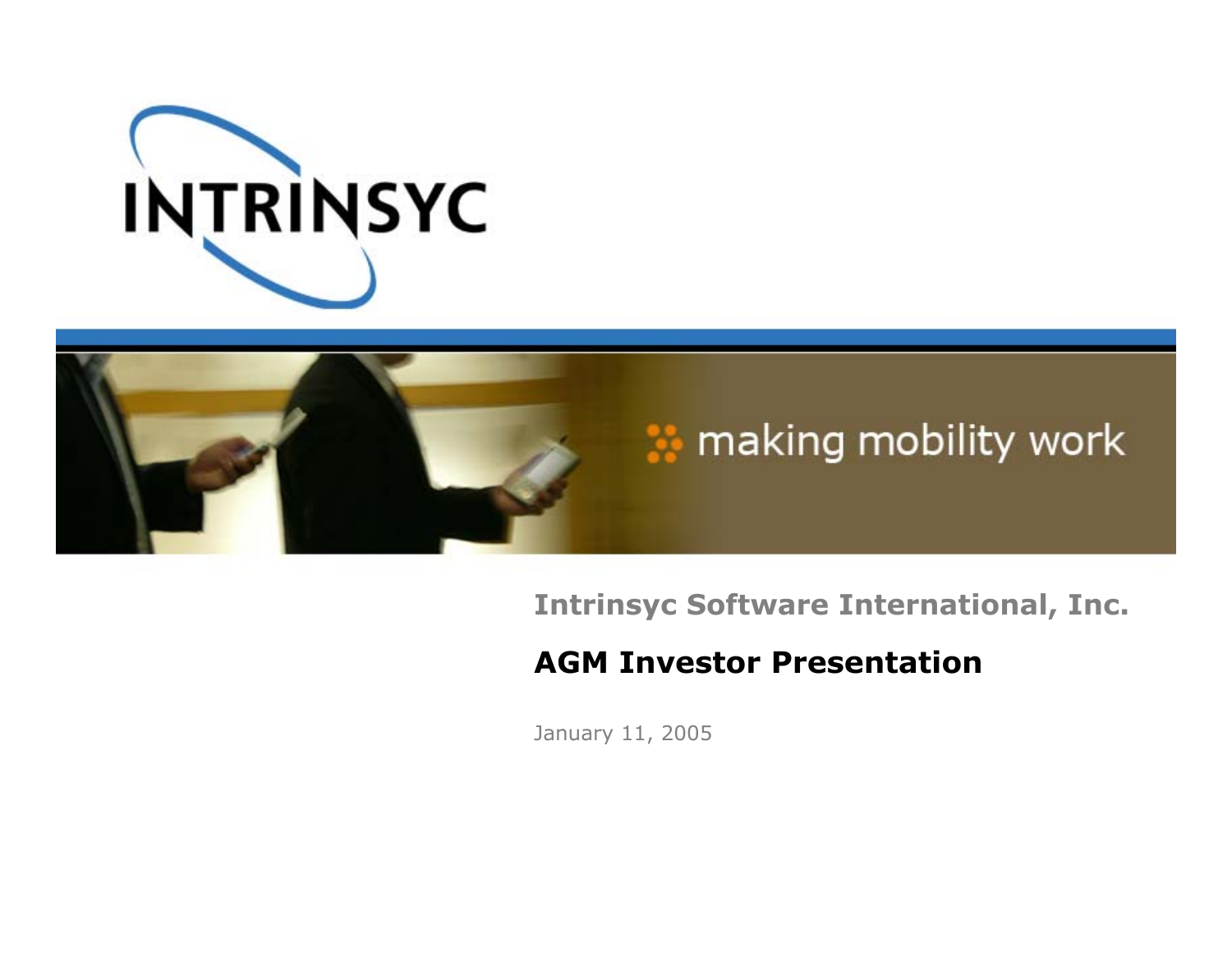



**Intrinsyc Software International, Inc.**

#### **AGM Investor Presentation**

January 11, 2005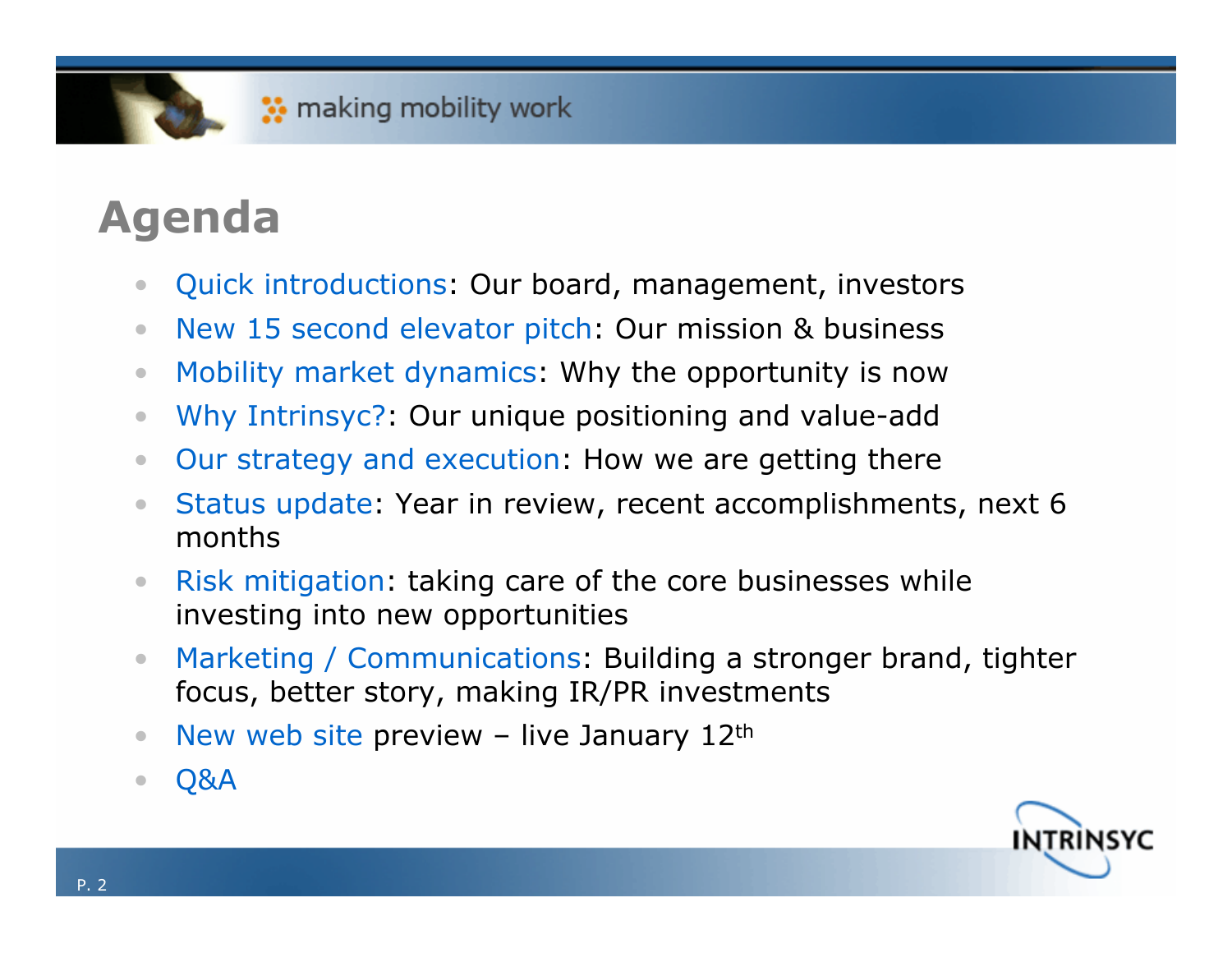## **Agenda**

- $\bullet$ Quick introductions: Our board, management, investors
- $\bullet$ New 15 second elevator pitch: Our mission & business
- $\bullet$ Mobility market dynamics: Why the opportunity is now
- $\bullet$ Why Intrinsyc?: Our unique positioning and value-add
- $\bullet$ Our strategy and execution: How we are getting there
- • Status update: Year in review, recent accomplishments, next 6 months
- $\bullet$  Risk mitigation: taking care of the core businesses while investing into new opportunities
- $\bullet$  Marketing / Communications: Building a stronger brand, tighter focus, better story, making IR/PR investments
- $\bullet$ • New web site preview – live January 12th
- $\bullet$ Q&A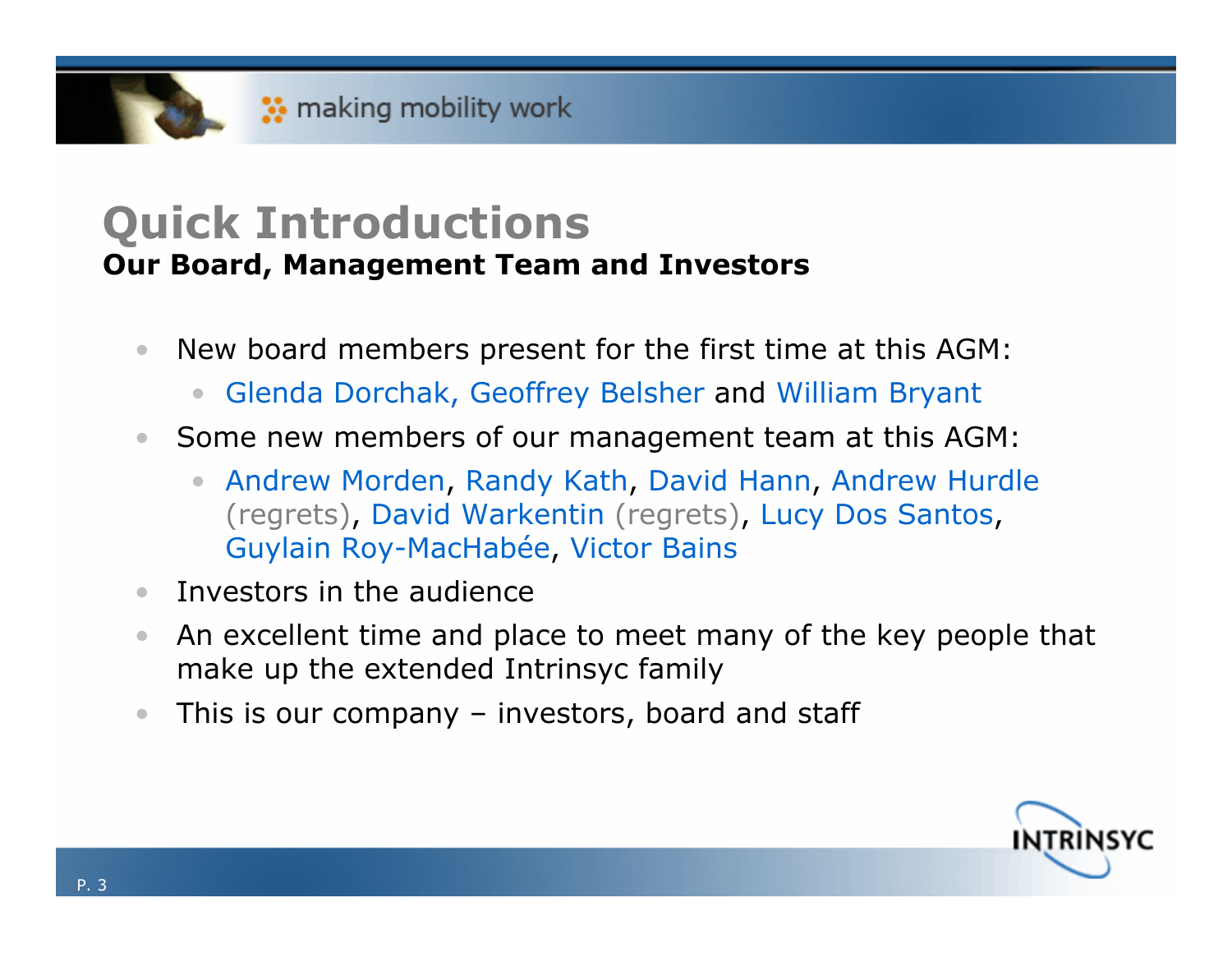#### **Quick Introductions Our Board, Management Team and Investors**

- $\bullet$  New board members present for the first time at this AGM:
	- $\bullet$ Glenda Dorchak, Geoffrey Belsher and William Bryant
- $\bullet$  Some new members of our management team at this AGM:
	- Andrew Morden, Randy Kath, David Hann, Andrew Hurdle (regrets), David Warkentin (regrets), Lucy Dos Santos, Guylain Roy-MacHabée, Victor Bains
- $\bullet$ Investors in the audience
- $\bullet$  An excellent time and place to meet many of the key people that make up the extended Intrinsyc family
- $\bullet$ This is our company – investors, board and staff

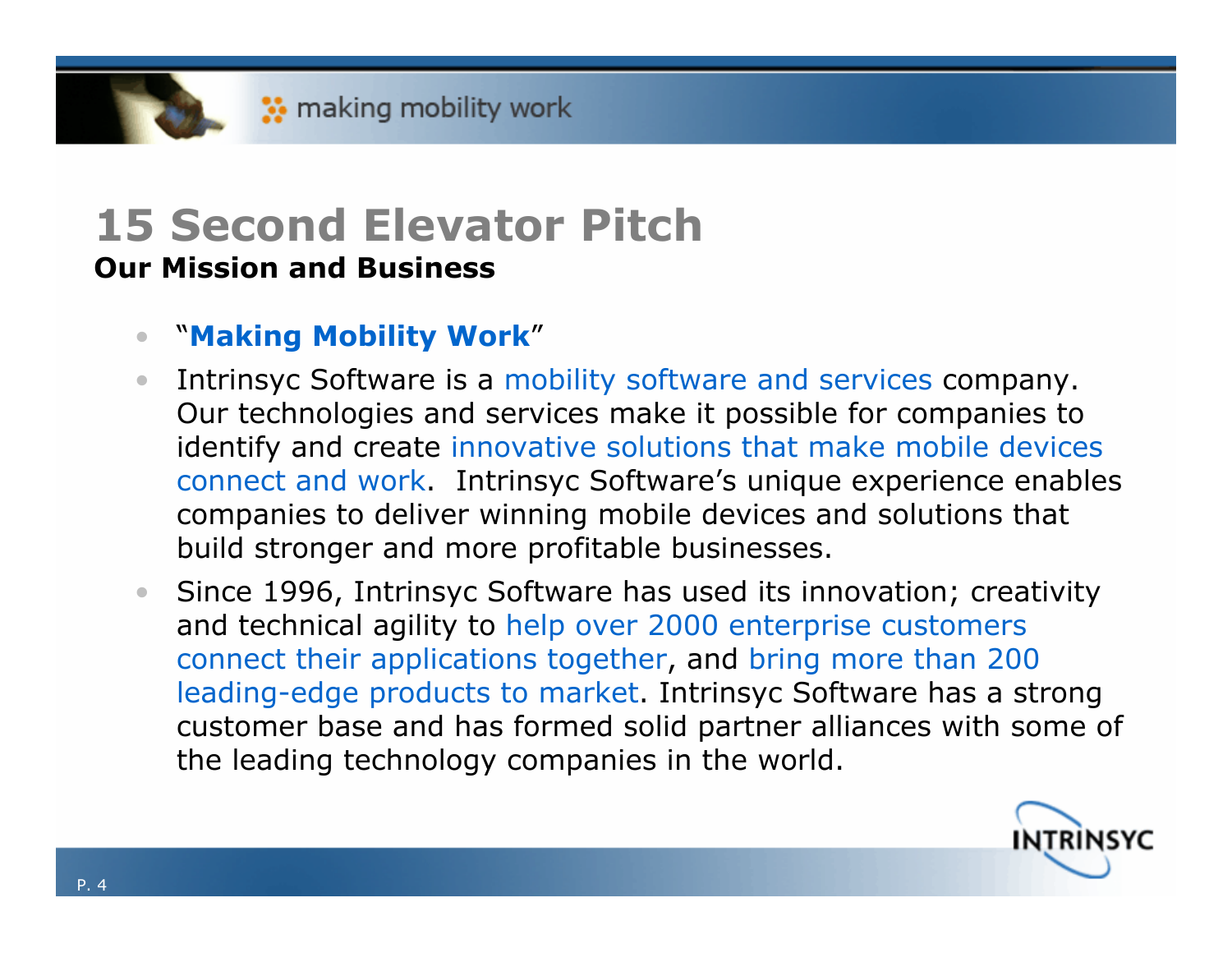#### **15 Second Elevator Pitch Our Mission and Business**

#### •"**Making Mobility Work**"

- $\bullet$  Intrinsyc Software is a mobility software and services company. Our technologies and services make it possible for companies to identify and create innovative solutions that make mobile devices connect and work. Intrinsyc Software's unique experience enables companies to deliver winning mobile devices and solutions that build stronger and more profitable businesses.
- $\bullet$  Since 1996, Intrinsyc Software has used its innovation; creativity and technical agility to help over 2000 enterprise customers connect their applications together, and bring more than 200 leading-edge products to market. Intrinsyc Software has a strong customer base and has formed solid partner alliances with some of the leading technology companies in the world.

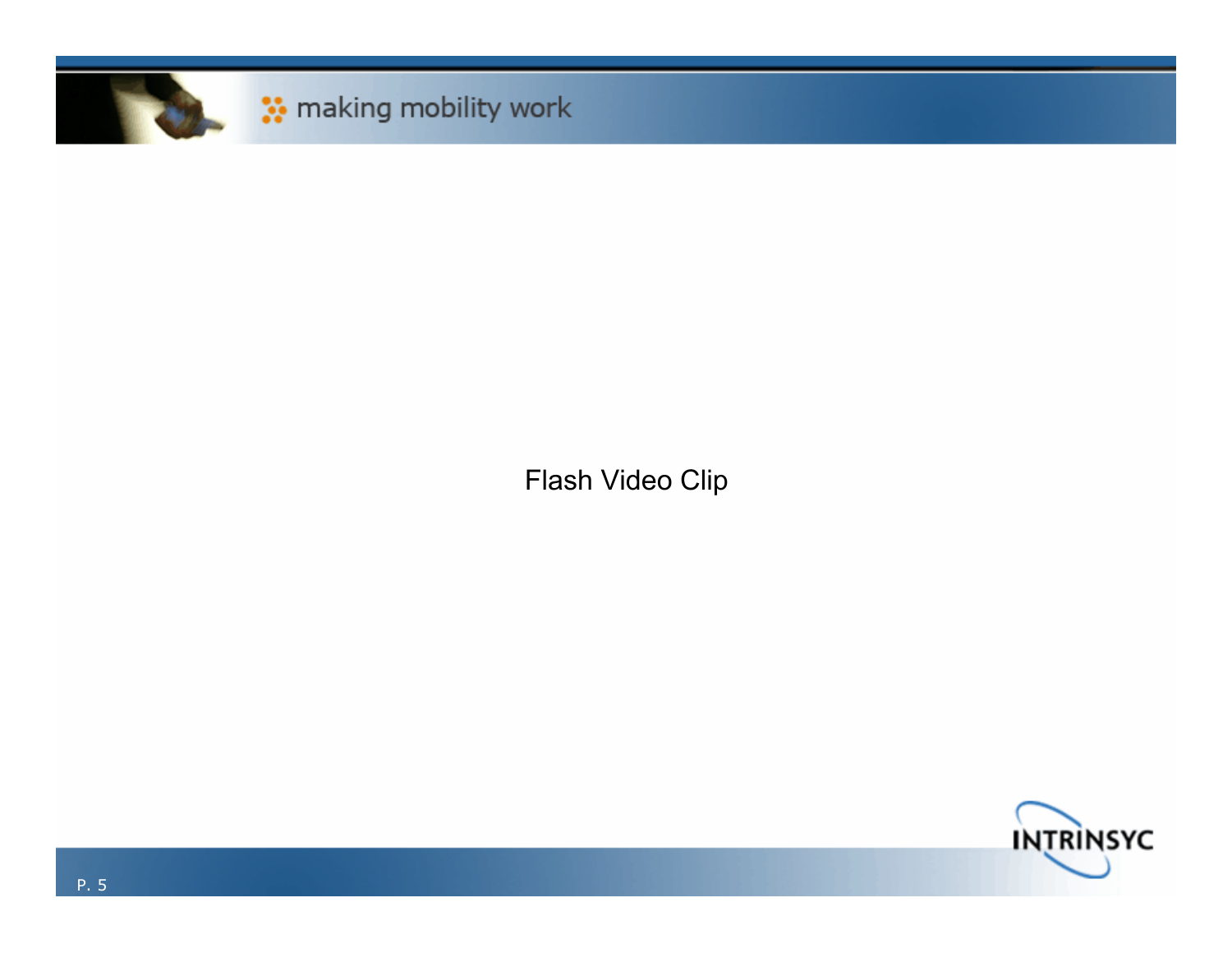

Flash Video Clip

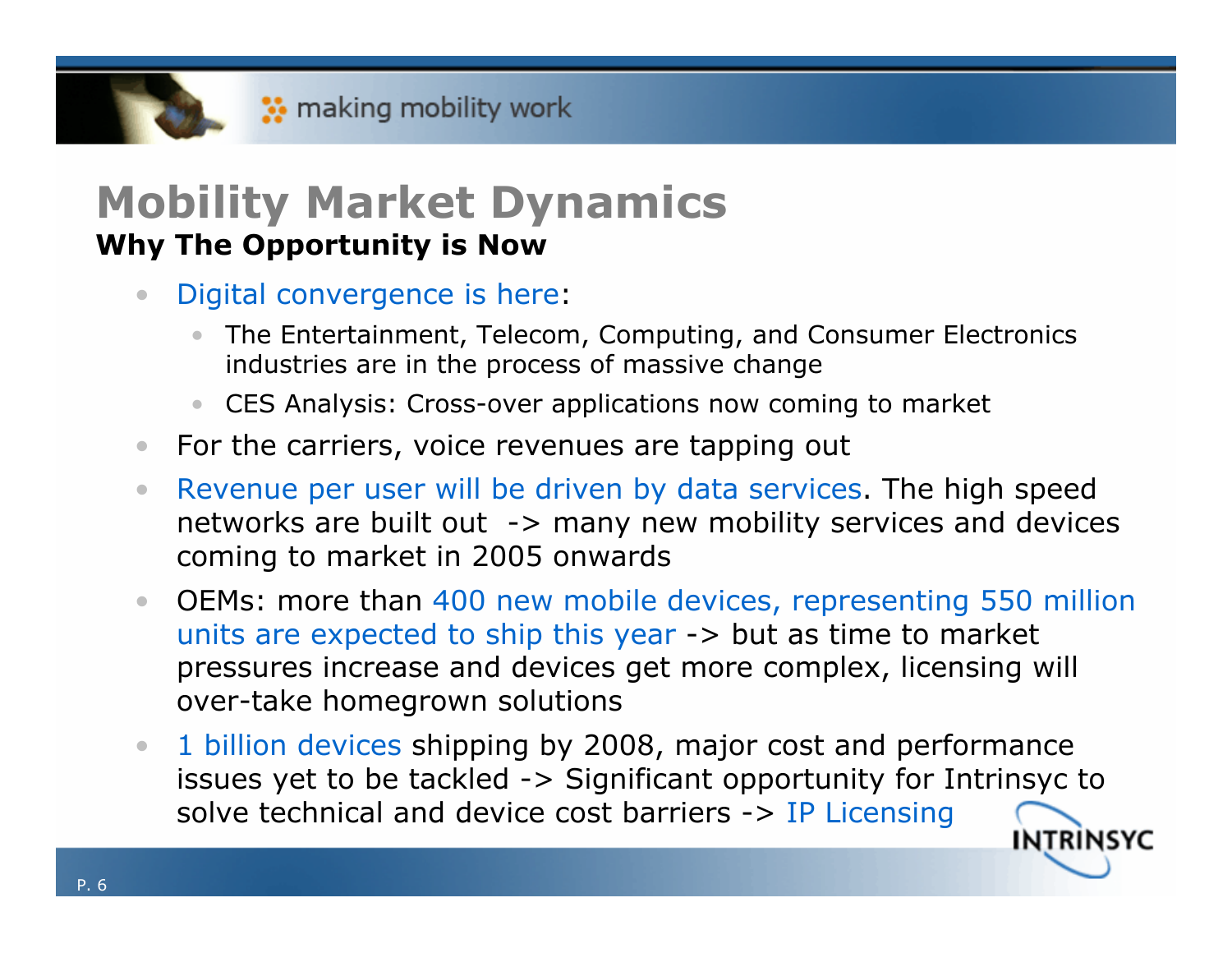#### **Mobility Market Dynamics Why The Opportunity is Now**

- • Digital convergence is here:
	- • The Entertainment, Telecom, Computing, and Consumer Electronics industries are in the process of massive change
	- CES Analysis: Cross-over applications now coming to market
- $\bullet$ For the carriers, voice revenues are tapping out
- $\bullet$  Revenue per user will be driven by data services. The high speed networks are built out -> many new mobility services and devices coming to market in 2005 onwards
- • OEMs: more than 400 new mobile devices, representing 550 million units are expected to ship this year -> but as time to market pressures increase and devices get more complex, licensing will over-take homegrown solutions
- 1 billion devices shipping by 2008, major cost and performance  $\bullet$ issues yet to be tackled -> Significant opportunity for Intrinsyc to solve technical and device cost barriers -> IP Licensing **INTRINSYC**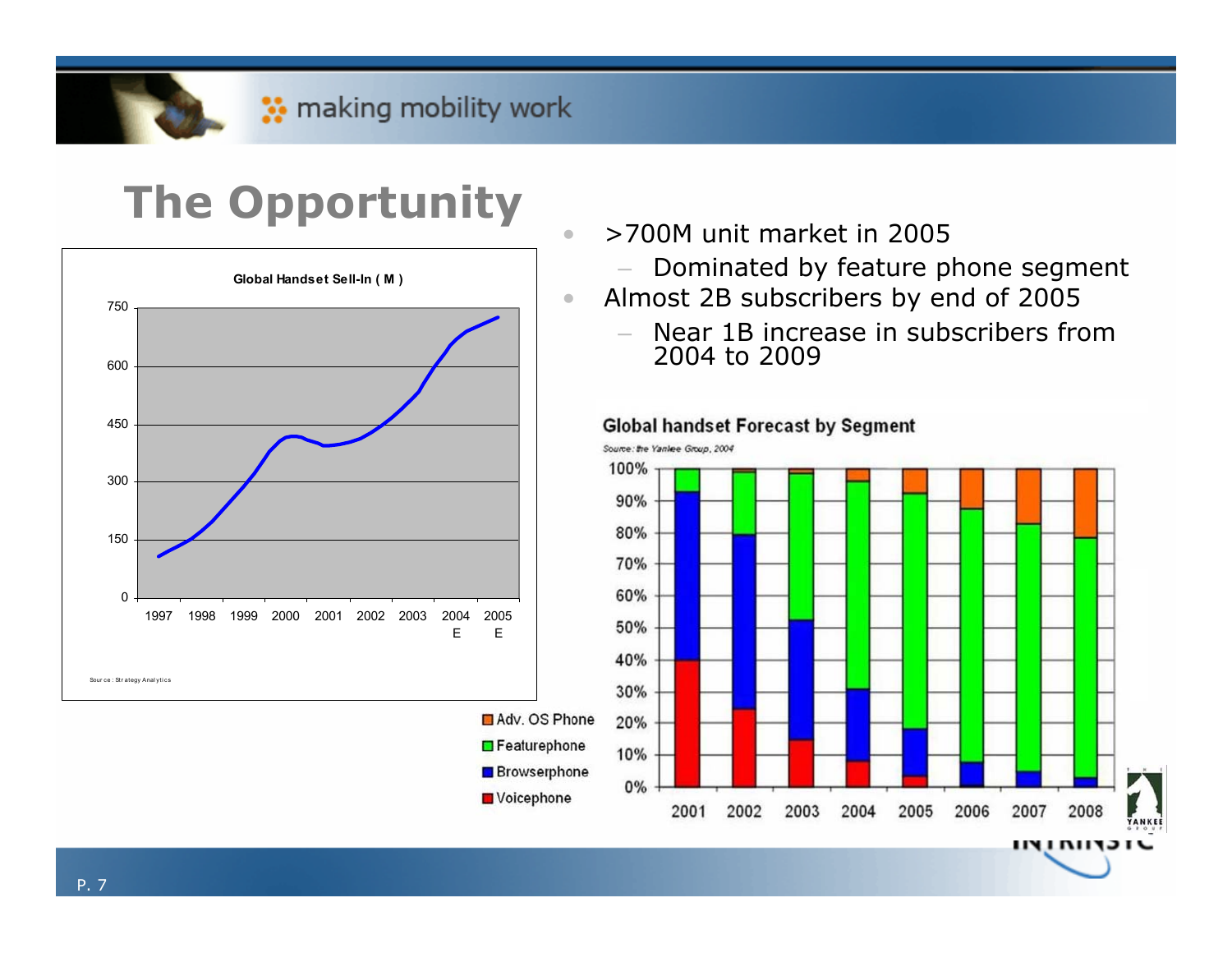•

•

Voicephone

## **The Opportunity**



- >700M unit market in 2005
	- –Dominated by feature phone segment
- Almost 2B subscribers by end of 2005
	- Near 1B increase in subscribers from 2004 to 2009

#### **Global handset Forecast by Segment**

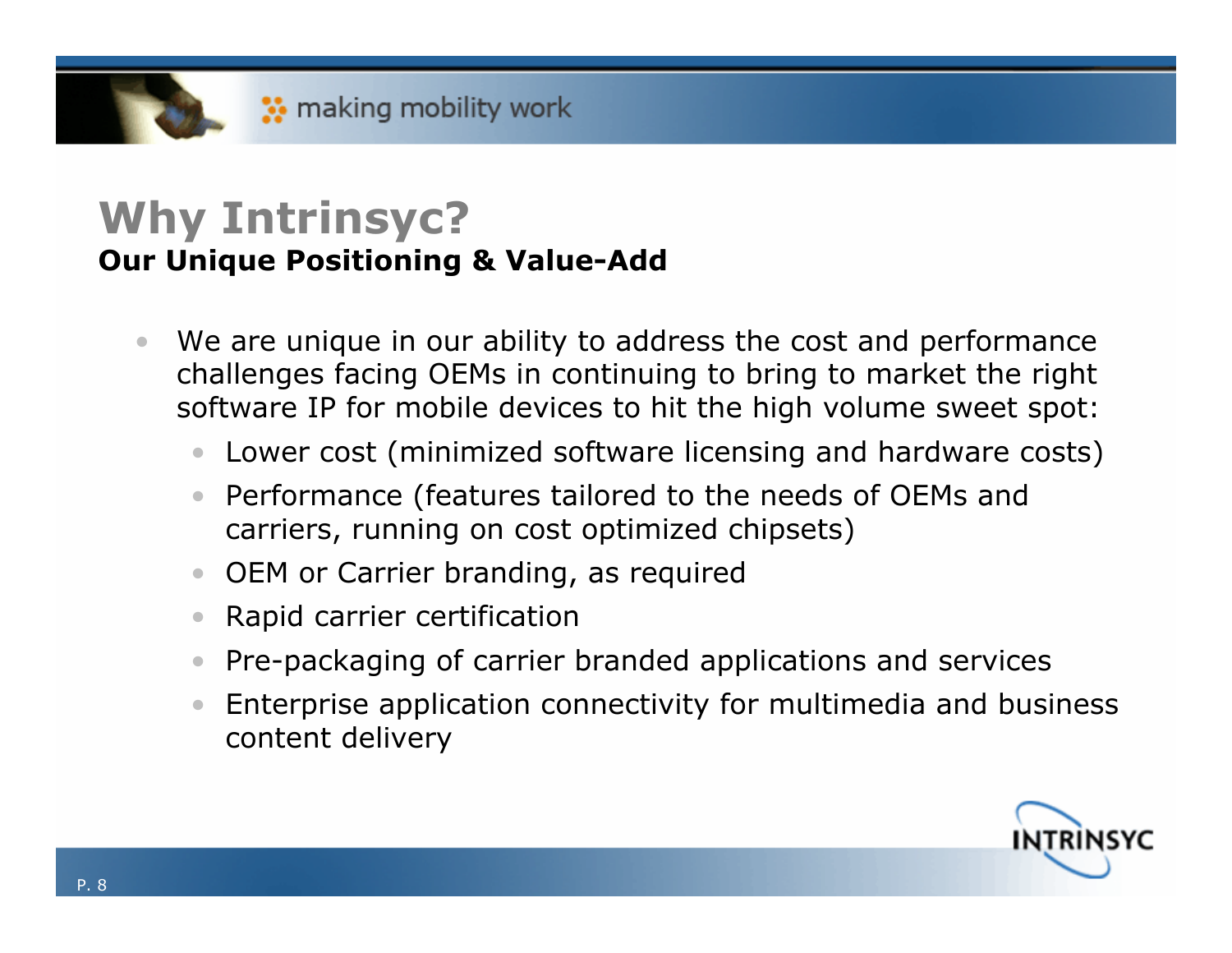#### **Why Intrinsyc? Our Unique Positioning & Value-Add**

- $\bullet$  We are unique in our ability to address the cost and performance challenges facing OEMs in continuing to bring to market the right software IP for mobile devices to hit the high volume sweet spot:
	- Lower cost (minimized software licensing and hardware costs)
	- • Performance (features tailored to the needs of OEMs and carriers, running on cost optimized chipsets)
	- OEM or Carrier branding, as required
	- $\bullet$ Rapid carrier certification
	- •Pre-packaging of carrier branded applications and services
	- • Enterprise application connectivity for multimedia and business content delivery

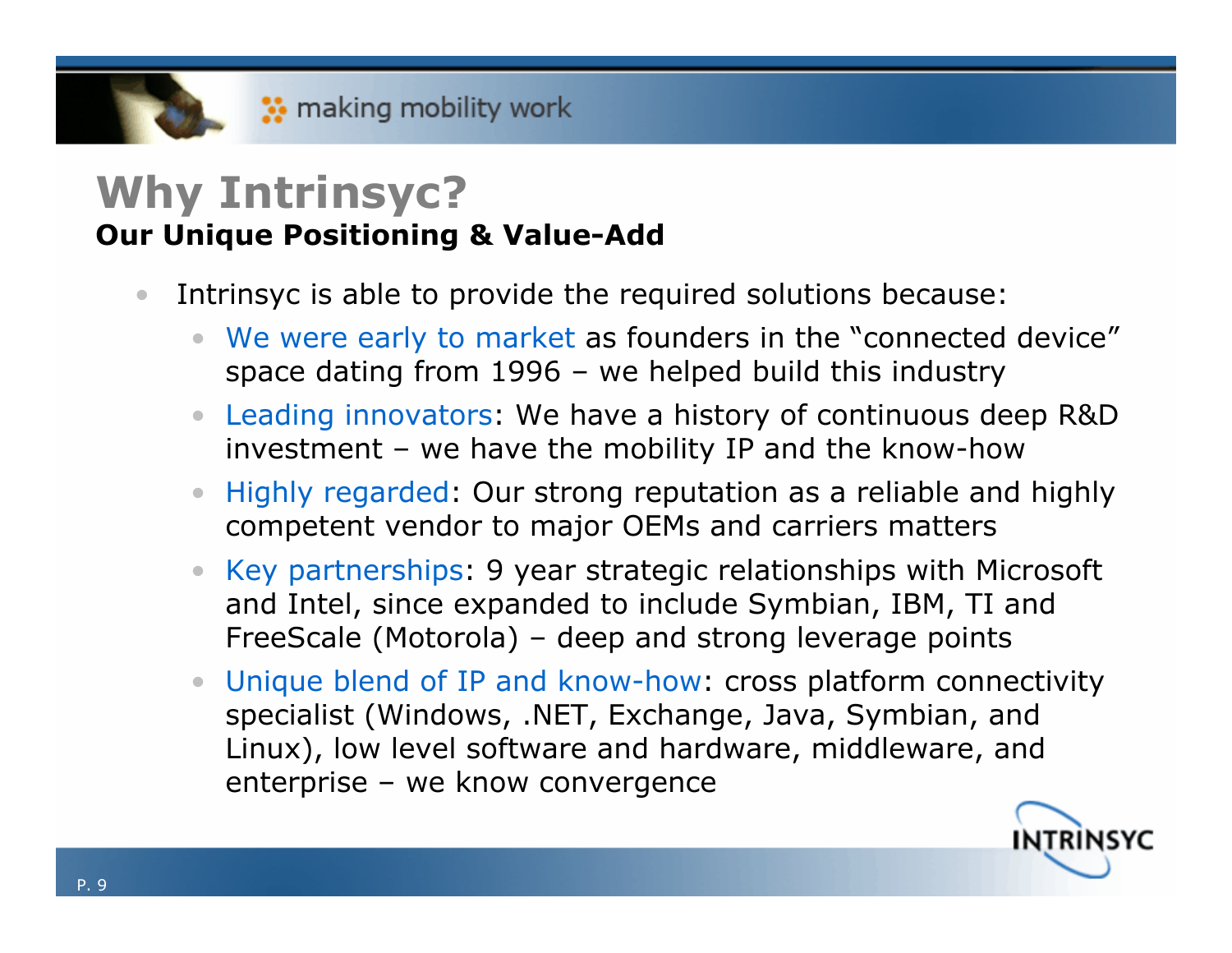#### **Why Intrinsyc? Our Unique Positioning & Value-Add**

- • Intrinsyc is able to provide the required solutions because:
	- •We were early to market as founders in the "connected device" space dating from 1996 – we helped build this industry
	- Leading innovators: We have a history of continuous deep R&D investment – we have the mobility IP and the know-how
	- • Highly regarded: Our strong reputation as a reliable and highly competent vendor to major OEMs and carriers matters
	- Key partnerships: 9 year strategic relationships with Microsoft and Intel, since expanded to include Symbian, IBM, TI and FreeScale (Motorola) – deep and strong leverage points
	- • Unique blend of IP and know-how: cross platform connectivity specialist (Windows, .NET, Exchange, Java, Symbian, and Linux), low level software and hardware, middleware, and enterprise – we know convergence

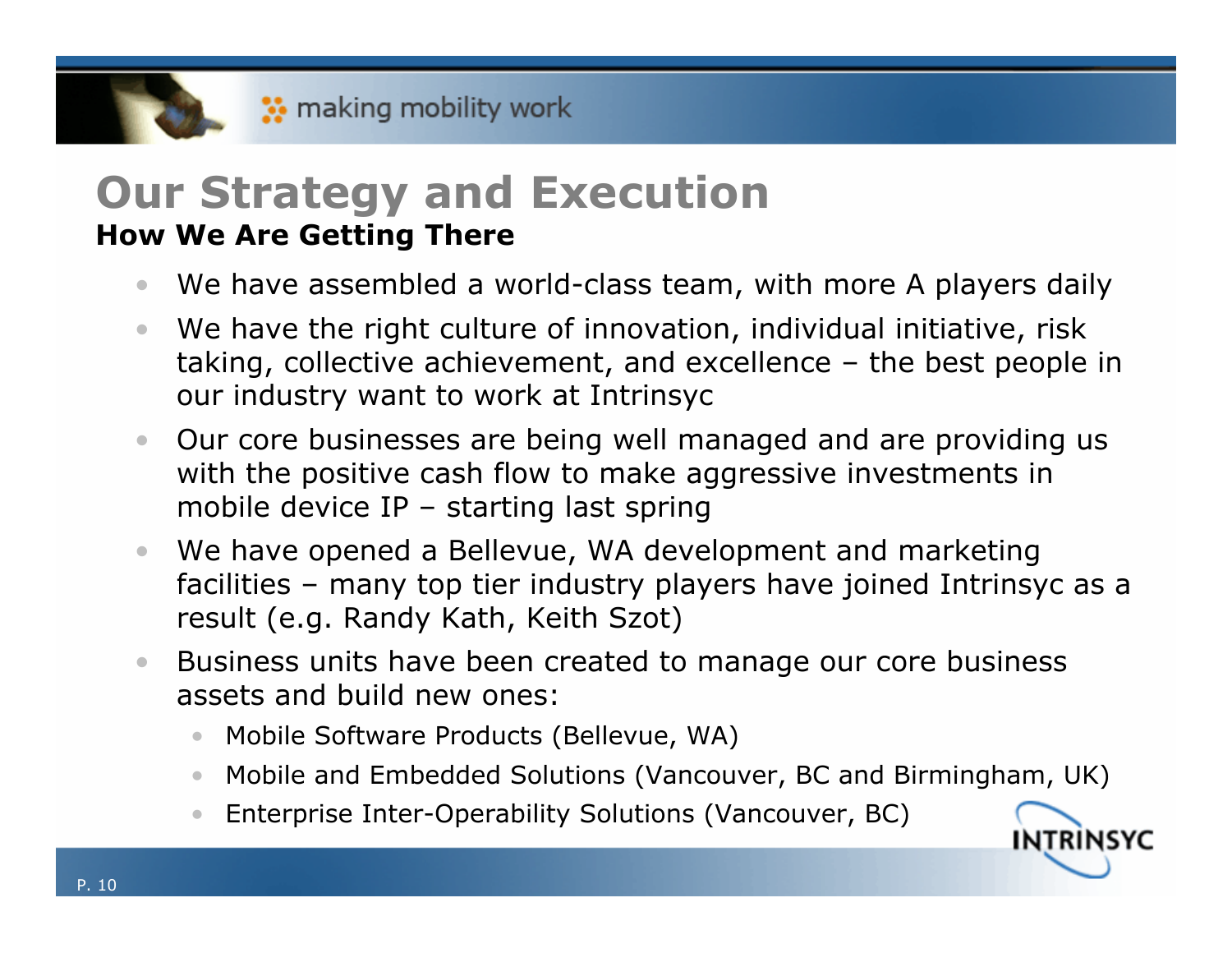#### **Our Strategy and Execution How We Are Getting There**

- $\bullet$ We have assembled a world-class team, with more A players daily
- $\bullet$  We have the right culture of innovation, individual initiative, risk taking, collective achievement, and excellence – the best people in our industry want to work at Intrinsyc
- • Our core businesses are being well managed and are providing us with the positive cash flow to make aggressive investments in mobile device IP – starting last spring
- • We have opened a Bellevue, WA development and marketing facilities – many top tier industry players have joined Intrinsyc as a result (e.g. Randy Kath, Keith Szot)
- $\bullet$  Business units have been created to manage our core business assets and build new ones:
	- •Mobile Software Products (Bellevue, WA)
	- Mobile and Embedded Solutions (Vancouver, BC and Birmingham, UK)

INTRINSYC

•Enterprise Inter-Operability Solutions (Vancouver, BC)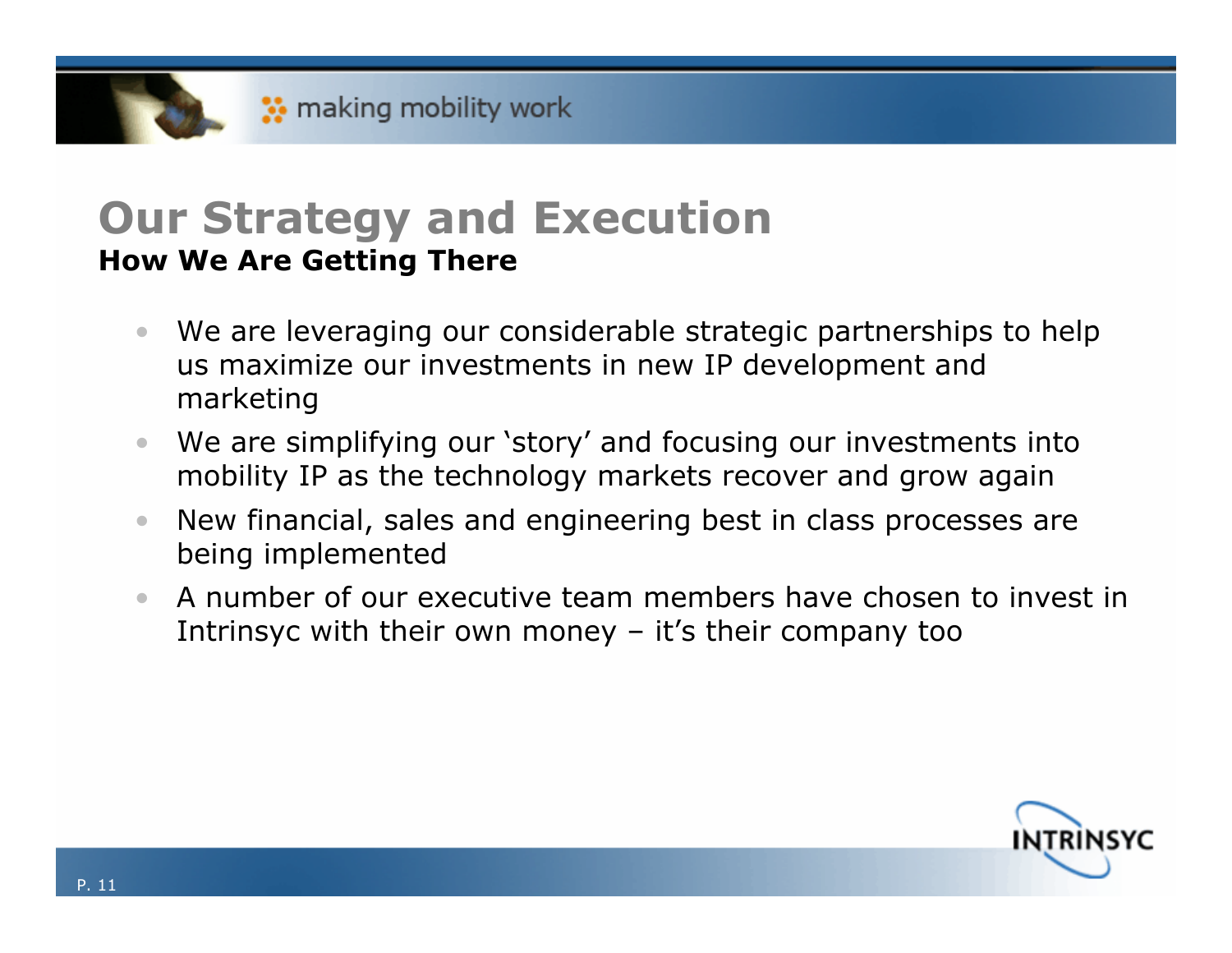### **Our Strategy and Execution How We Are Getting There**

- $\bullet$  We are leveraging our considerable strategic partnerships to help us maximize our investments in new IP development and marketing
- $\bullet$  We are simplifying our 'story' and focusing our investments into mobility IP as the technology markets recover and grow again
- $\bullet$  New financial, sales and engineering best in class processes are being implemented
- • A number of our executive team members have chosen to invest in Intrinsyc with their own money  $-$  it's their company too

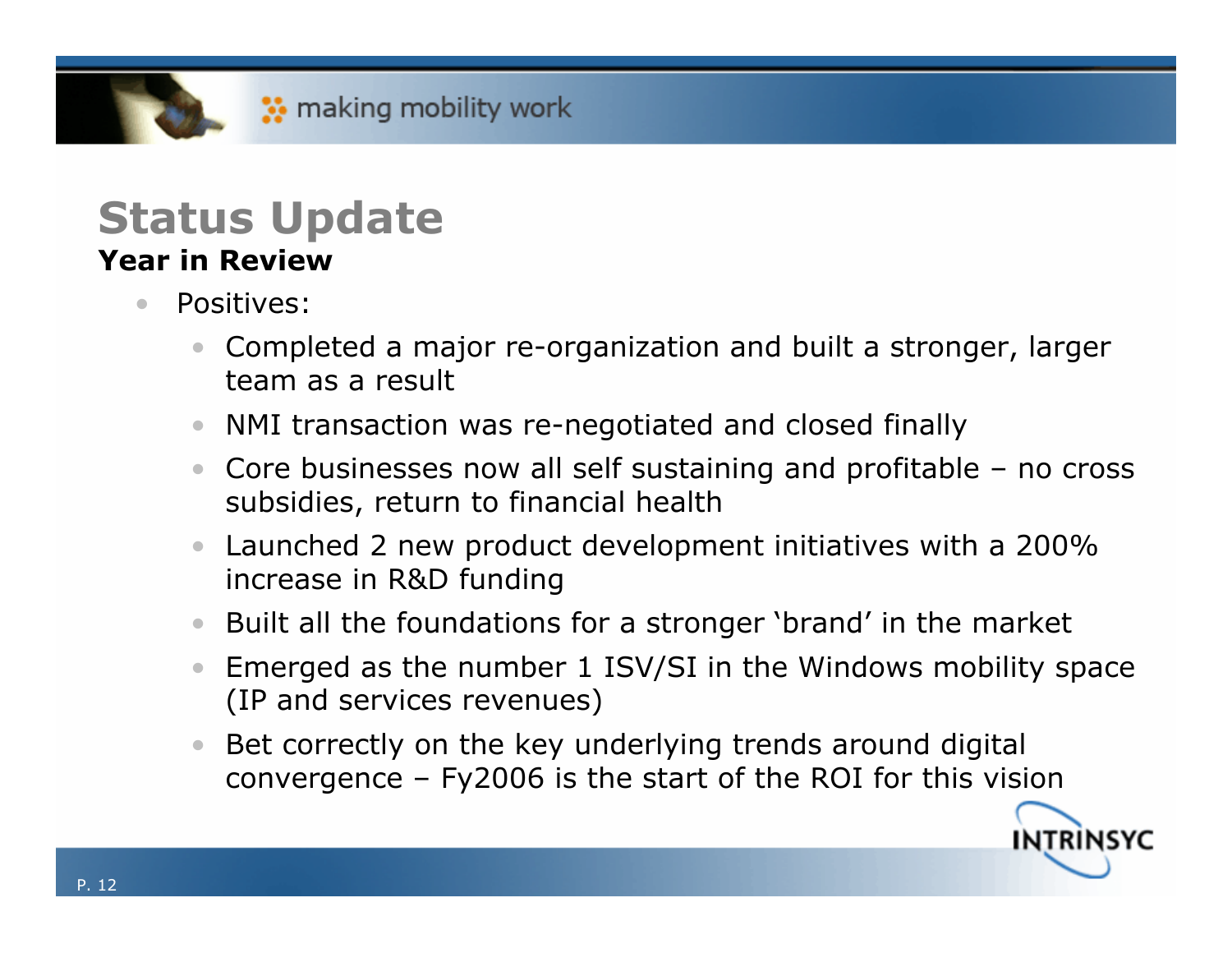#### **Status Update Year in Review**

- $\bullet$  Positives:
	- Completed a major re-organization and built a stronger, larger team as a result
	- NMI transaction was re-negotiated and closed finally
	- Core businesses now all self sustaining and profitable no cross subsidies, return to financial health
	- Launched 2 new product development initiatives with a 200% increase in R&D funding
	- Built all the foundations for a stronger 'brand' in the market
	- Emerged as the number 1 ISV/SI in the Windows mobility space (IP and services revenues)
	- $\bullet$  Bet correctly on the key underlying trends around digital convergence – Fy2006 is the start of the ROI for this vision

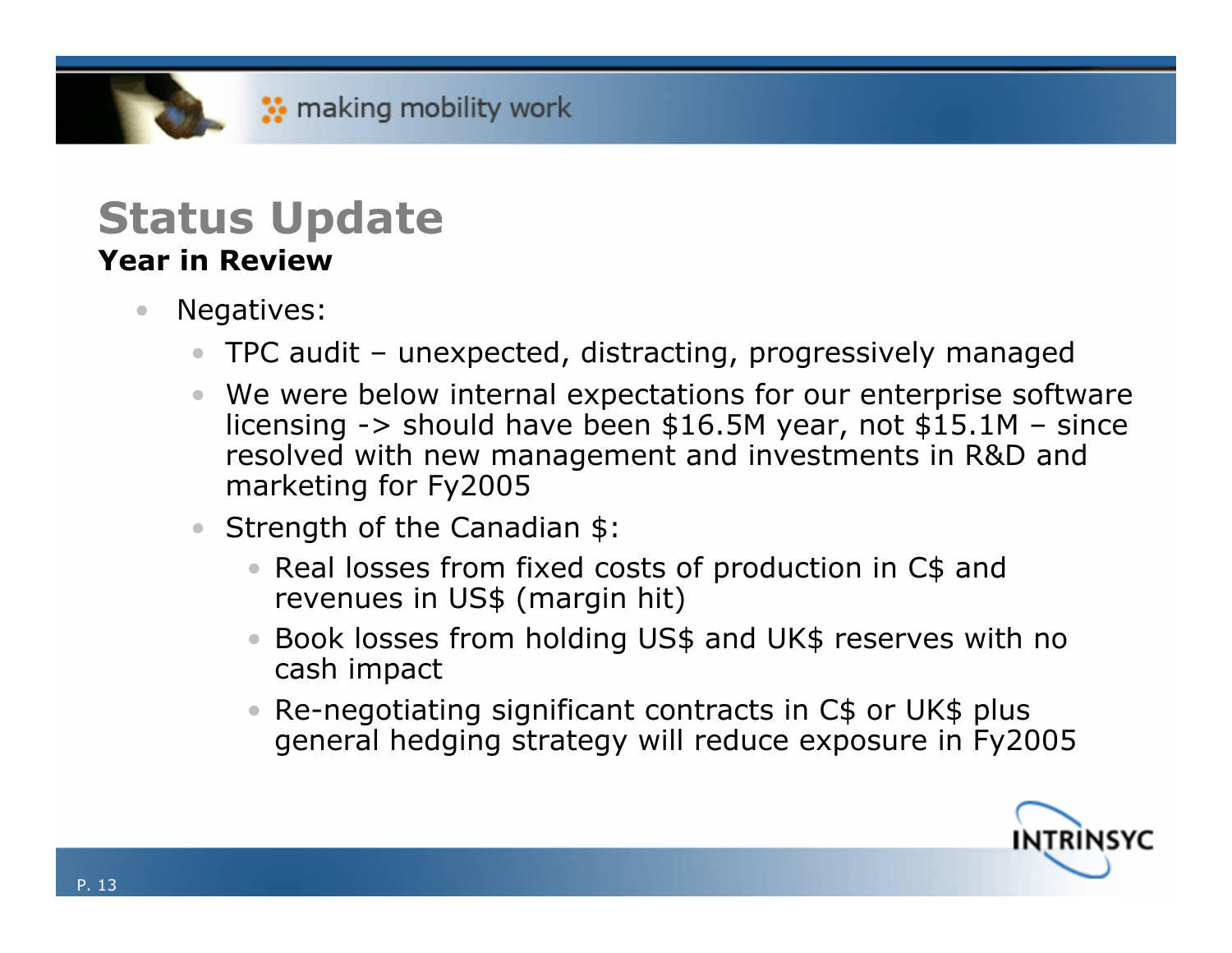#### **Status Update Year in Review**

- $\bullet$  Negatives:
	- $\bullet$ TPC audit – unexpected, distracting, progressively managed
	- We were below internal expectations for our enterprise software licensing -> should have been \$16.5M year, not \$15.1M – since resolved with new management and investments in R&D and marketing for Fy2005
	- Strength of the Canadian \$:
		- Real losses from fixed costs of production in C\$ and revenues in US\$ (margin hit)
		- Book losses from holding US\$ and UK\$ reserves with no cash impact
		- Re-negotiating significant contracts in C\$ or UK\$ plus general hedging strategy will reduce exposure in Fy2005

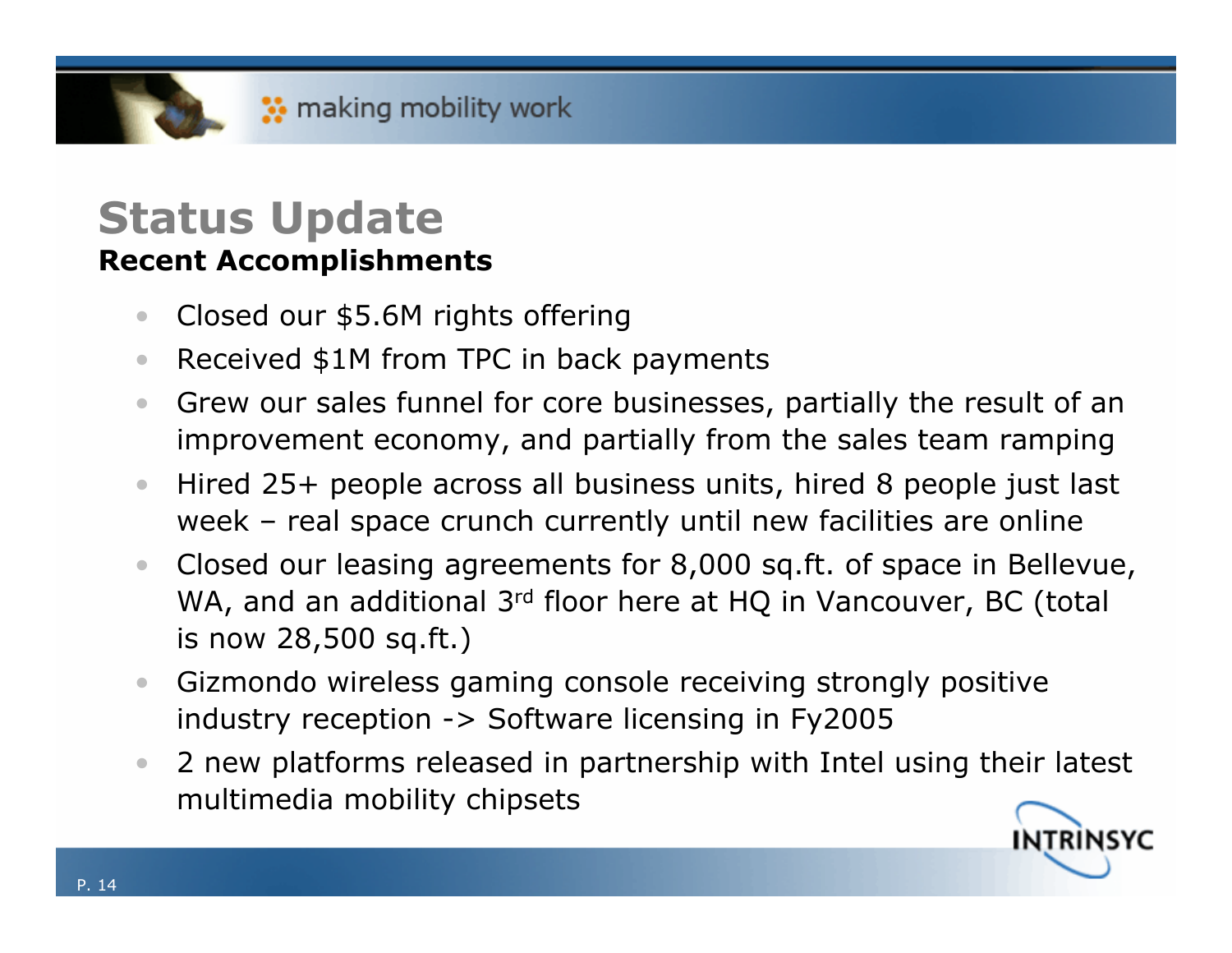#### **Status Update Recent Accomplishments**

- $\bullet$ Closed our \$5.6M rights offering
- $\bullet$ Received \$1M from TPC in back payments
- $\bullet$  Grew our sales funnel for core businesses, partially the result of an improvement economy, and partially from the sales team ramping
- $\bullet$  Hired 25+ people across all business units, hired 8 people just last week – real space crunch currently until new facilities are online
- $\bullet$  Closed our leasing agreements for 8,000 sq.ft. of space in Bellevue, WA, and an additional 3<sup>rd</sup> floor here at HQ in Vancouver, BC (total is now 28,500 sq.ft.)
- $\bullet$  Gizmondo wireless gaming console receiving strongly positive industry reception -> Software licensing in Fy2005
- • 2 new platforms released in partnership with Intel using their latest multimedia mobility chipsets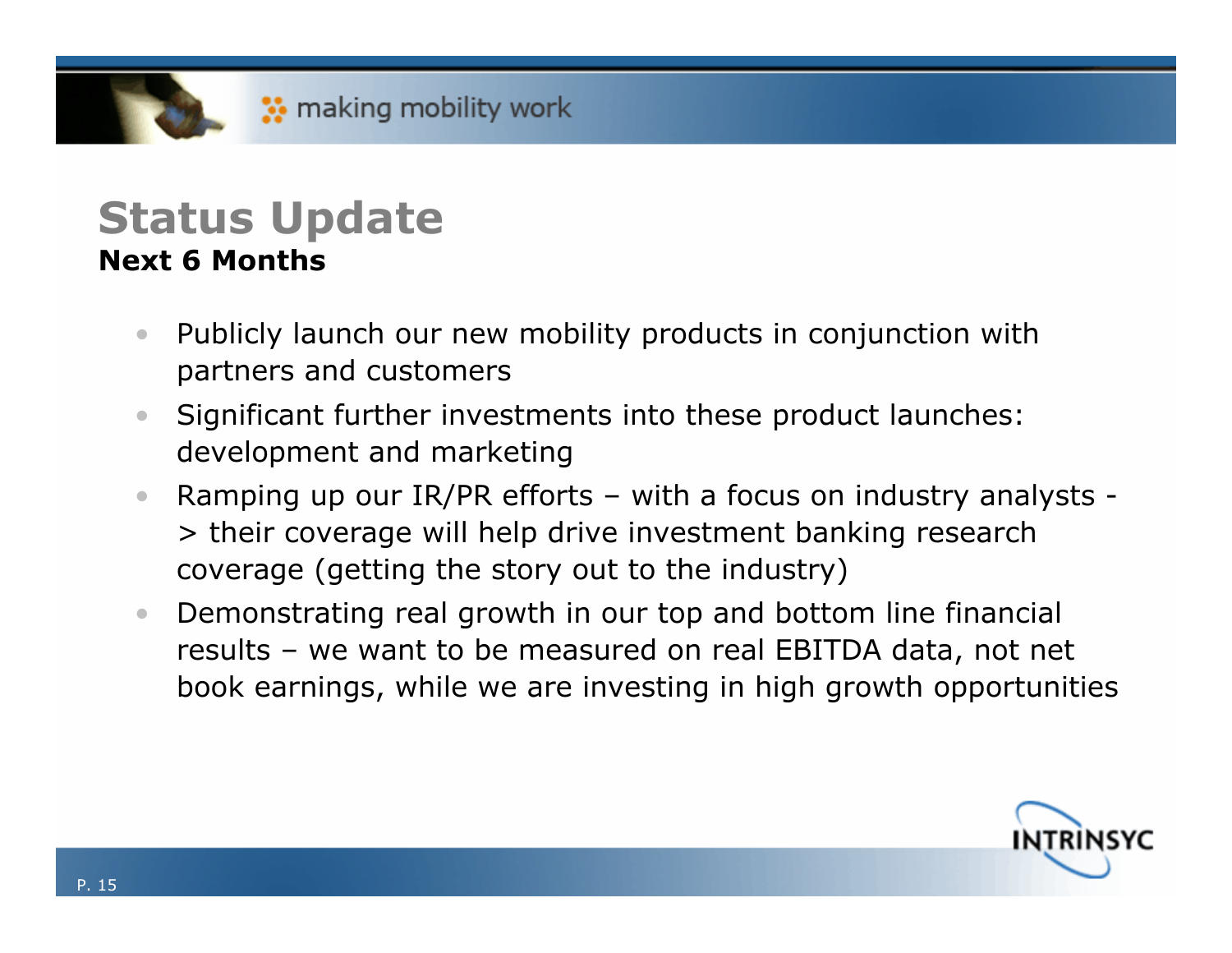### **Status Update Next 6 Months**

- $\bullet$  Publicly launch our new mobility products in conjunction with partners and customers
- $\bullet$  Significant further investments into these product launches: development and marketing
- $\bullet$  Ramping up our IR/PR efforts – with a focus on industry analysts - > their coverage will help drive investment banking research coverage (getting the story out to the industry)
- $\bullet$  Demonstrating real growth in our top and bottom line financial results – we want to be measured on real EBITDA data, not net book earnings, while we are investing in high growth opportunities

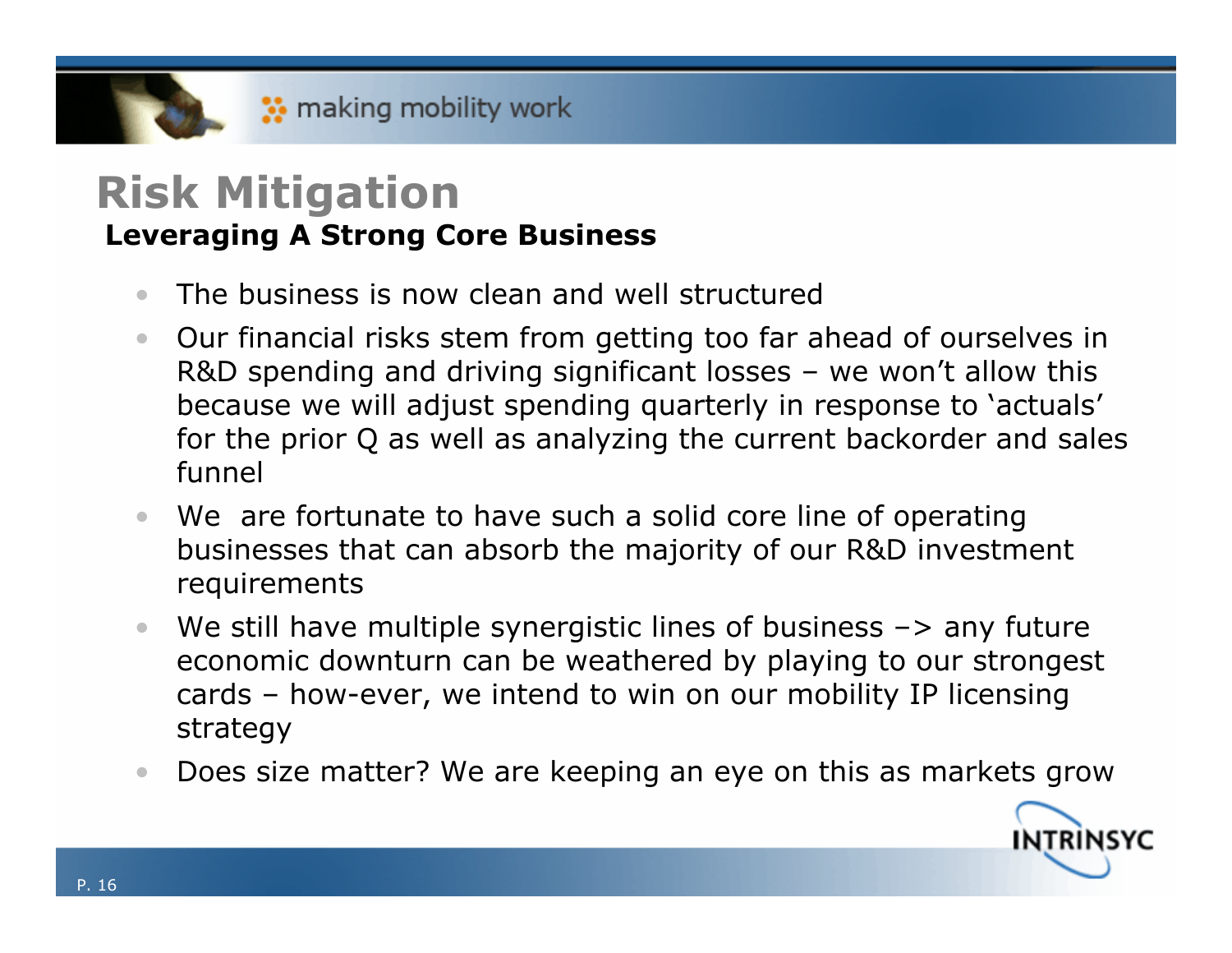### **Risk Mitigation Leveraging A Strong Core Business**

- $\bullet$ The business is now clean and well structured
- $\bullet$  Our financial risks stem from getting too far ahead of ourselves in R&D spending and driving significant losses – we won't allow this because we will adjust spending quarterly in response to 'actuals' for the prior Q as well as analyzing the current backorder and sales funnel
- We are fortunate to have such a solid core line of operating businesses that can absorb the majority of our R&D investment requirements
- $\bullet$ We still have multiple synergistic lines of business  $\rightarrow$  any future economic downturn can be weathered by playing to our strongest cards – how-ever, we intend to win on our mobility IP licensing strategy
- $\bullet$ Does size matter? We are keeping an eye on this as markets grow

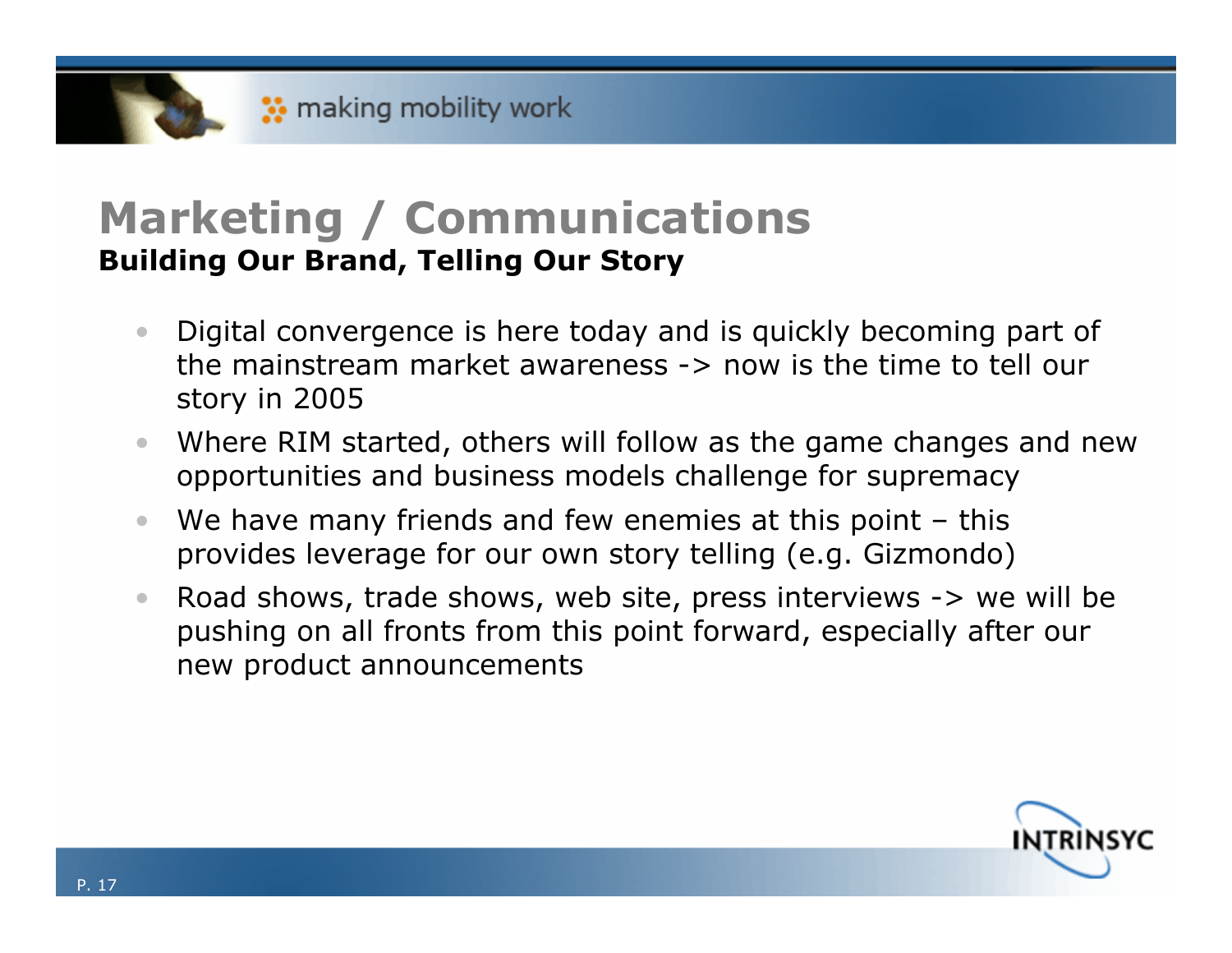## **Marketing / Communications Building Our Brand, Telling Our Story**

- $\bullet$  Digital convergence is here today and is quickly becoming part of the mainstream market awareness -> now is the time to tell our story in 2005
- $\bullet$  Where RIM started, others will follow as the game changes and new opportunities and business models challenge for supremacy
- $\bullet$ We have many friends and few enemies at this point – this provides leverage for our own story telling (e.g. Gizmondo)
- $\bullet$  Road shows, trade shows, web site, press interviews -> we will be pushing on all fronts from this point forward, especially after our new product announcements